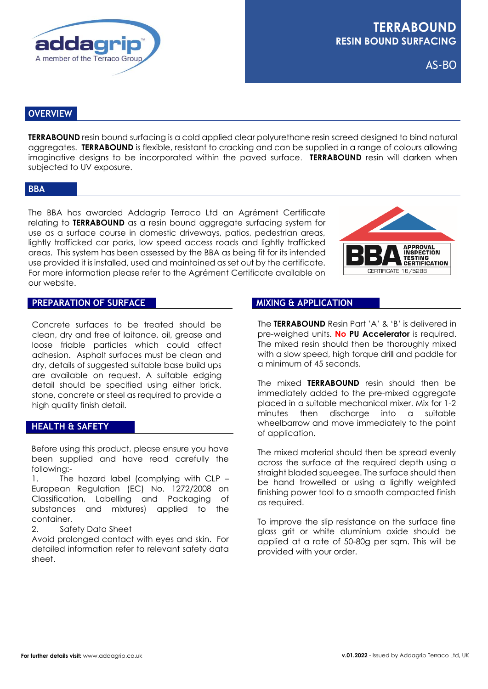

AS-BO

# **OVERVIEW**

**TERRABOUND** resin bound surfacing is a cold applied clear polyurethane resin screed designed to bind natural aggregates. **TERRABOUND** is flexible, resistant to cracking and can be supplied in a range of colours allowing imaginative designs to be incorporated within the paved surface. **TERRABOUND** resin will darken when subjected to UV exposure.

#### **BBA**

The BBA has awarded Addagrip Terraco Ltd an Agrément Certificate relating to **TERRABOUND** as a resin bound aggregate surfacing system for use as a surface course in domestic driveways, patios, pedestrian areas, lightly trafficked car parks, low speed access roads and lightly trafficked areas. This system has been assessed by the BBA as being fit for its intended use provided it is installed, used and maintained as set out by the certificate. For more information please refer to the Agrément Certificate available on our website.



### **PREPARATION OF SURFACE**

Concrete surfaces to be treated should be clean, dry and free of laitance, oil, grease and loose friable particles which could affect adhesion. Asphalt surfaces must be clean and dry, details of suggested suitable base build ups are available on request. A suitable edging detail should be specified using either brick, stone, concrete or steel as required to provide a high quality finish detail.

# **HEALTH & SAFETY**

Before using this product, please ensure you have been supplied and have read carefully the following:-

1. The hazard label (complying with CLP – European Regulation (EC) No. 1272/2008 on Classification, Labelling and Packaging of substances and mixtures) applied to the container.

2. Safety Data Sheet

Avoid prolonged contact with eyes and skin. For detailed information refer to relevant safety data sheet.

### **MIXING & APPLICATION**

The **TERRABOUND** Resin Part 'A' & 'B' is delivered in pre-weighed units. **No PU Accelerator** is required. The mixed resin should then be thoroughly mixed with a slow speed, high torque drill and paddle for a minimum of 45 seconds.

The mixed **TERRABOUND** resin should then be immediately added to the pre-mixed aggregate placed in a suitable mechanical mixer. Mix for 1-2 minutes then discharge into a suitable wheelbarrow and move immediately to the point of application.

The mixed material should then be spread evenly across the surface at the required depth using a straight bladed squeegee. The surface should then be hand trowelled or using a lightly weighted finishing power tool to a smooth compacted finish as required.

To improve the slip resistance on the surface fine glass grit or white aluminium oxide should be applied at a rate of 50-80g per sqm. This will be provided with your order.